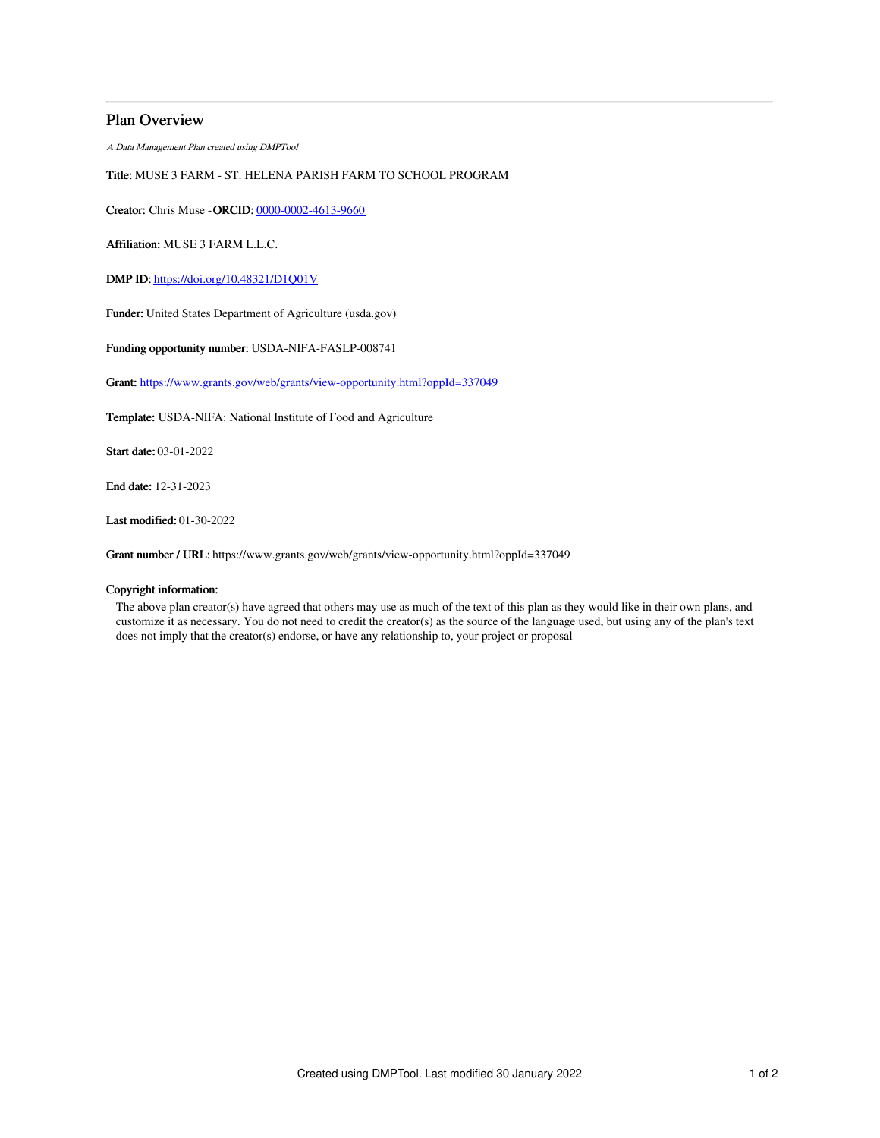## Plan Overview

A Data Management Plan created using DMPTool

# Title: MUSE 3 FARM - ST. HELENA PARISH FARM TO SCHOOL PROGRAM

Creator: Chris Muse -ORCID: [0000-0002-4613-9660](https://orcid.org/0000-0002-4613-9660)

Affiliation: MUSE 3 FARM L.L.C.

DMP ID: <https://doi.org/10.48321/D1Q01V>

Funder: United States Department of Agriculture (usda.gov)

Funding opportunity number: USDA-NIFA-FASLP-008741

Grant: <https://www.grants.gov/web/grants/view-opportunity.html?oppId=337049>

Template: USDA-NIFA: National Institute of Food and Agriculture

Start date: 03-01-2022

End date: 12-31-2023

Last modified: 01-30-2022

Grant number / URL: https://www.grants.gov/web/grants/view-opportunity.html?oppId=337049

#### Copyright information:

The above plan creator(s) have agreed that others may use as much of the text of this plan as they would like in their own plans, and customize it as necessary. You do not need to credit the creator(s) as the source of the language used, but using any of the plan's text does not imply that the creator(s) endorse, or have any relationship to, your project or proposal